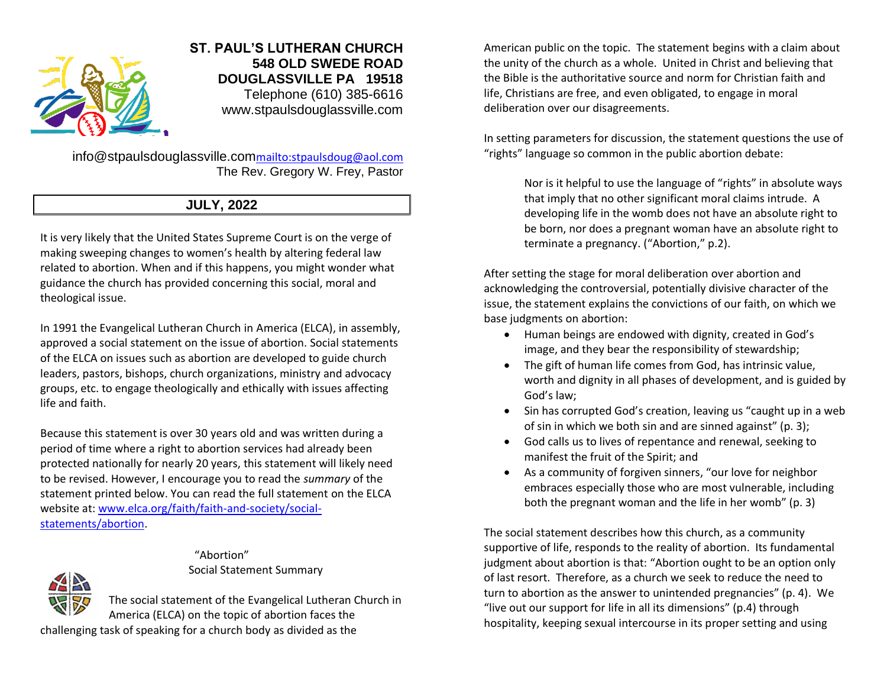

# **ST. PAUL'S LUTHERAN CHURCH 548 OLD SWEDE ROAD DOUGLASSVILLE PA 19518** Telephone (610) 385-6616 www.stpaulsdouglassville.com

info@stpaulsdouglassville.com<mailto:stpaulsdoug@aol.com> The Rev. Gregory W. Frey, Pastor

# **JULY, 2022**

It is very likely that the United States Supreme Court is on the verge of making sweeping changes to women's health by altering federal law related to abortion. When and if this happens, you might wonder what guidance the church has provided concerning this social, moral and theological issue.

In 1991 the Evangelical Lutheran Church in America (ELCA), in assembly, approved a social statement on the issue of abortion. Social statements of the ELCA on issues such as abortion are developed to guide church leaders, pastors, bishops, church organizations, ministry and advocacy groups, etc. to engage theologically and ethically with issues affecting life and faith.

Because this statement is over 30 years old and was written during a period of time where a right to abortion services had already been protected nationally for nearly 20 years, this statement will likely need to be revised. However, I encourage you to read the *summary* of the statement printed below. You can read the full statement on the ELCA website at: [www.elca.org/faith/faith-and-society/social](http://www.elca.org/faith/faith-and-society/social-statements/abortion)[statements/abortion.](http://www.elca.org/faith/faith-and-society/social-statements/abortion)

"Abortion" Social Statement Summary

The social statement of the Evangelical Lutheran Church in America (ELCA) on the topic of abortion faces the

challenging task of speaking for a church body as divided as the

American public on the topic. The statement begins with a claim about the unity of the church as a whole. United in Christ and believing that the Bible is the authoritative source and norm for Christian faith and life, Christians are free, and even obligated, to engage in moral deliberation over our disagreements.

In setting parameters for discussion, the statement questions the use of "rights" language so common in the public abortion debate:

> Nor is it helpful to use the language of "rights" in absolute ways that imply that no other significant moral claims intrude. A developing life in the womb does not have an absolute right to be born, nor does a pregnant woman have an absolute right to terminate a pregnancy. ("Abortion," p.2).

After setting the stage for moral deliberation over abortion and acknowledging the controversial, potentially divisive character of the issue, the statement explains the convictions of our faith, on which we base judgments on abortion:

- Human beings are endowed with dignity, created in God's image, and they bear the responsibility of stewardship;
- The gift of human life comes from God, has intrinsic value, worth and dignity in all phases of development, and is guided by God's law;
- Sin has corrupted God's creation, leaving us "caught up in a web of sin in which we both sin and are sinned against" (p. 3);
- God calls us to lives of repentance and renewal, seeking to manifest the fruit of the Spirit; and
- As a community of forgiven sinners, "our love for neighbor embraces especially those who are most vulnerable, including both the pregnant woman and the life in her womb" (p. 3)

The social statement describes how this church, as a community supportive of life, responds to the reality of abortion. Its fundamental judgment about abortion is that: "Abortion ought to be an option only of last resort. Therefore, as a church we seek to reduce the need to turn to abortion as the answer to unintended pregnancies" (p. 4). We "live out our support for life in all its dimensions" (p.4) through hospitality, keeping sexual intercourse in its proper setting and using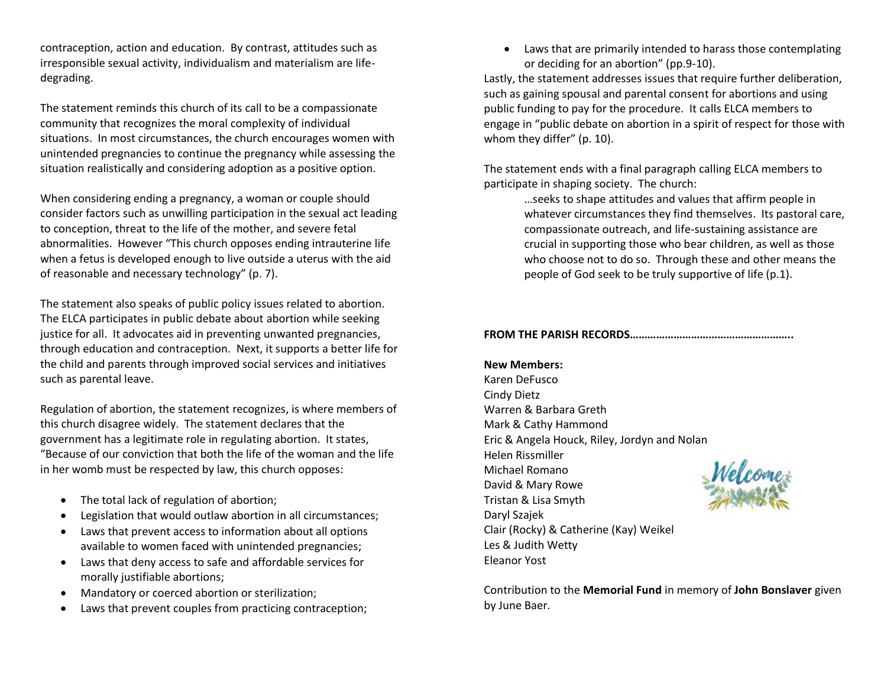contraception, action and education. By contrast, attitudes such as irresponsible sexual activity, individualism and materialism are lifedegrading.

The statement reminds this church of its call to be a compassionate community that recognizes the moral complexity of individual situations. In most circumstances, the church encourages women with unintended pregnancies to continue the pregnancy while assessing the situation realistically and considering adoption as a positive option.

When considering ending a pregnancy, a woman or couple should consider factors such as unwilling participation in the sexual act leading to conception, threat to the life of the mother, and severe fetal abnormalities. However "This church opposes ending intrauterine life when a fetus is developed enough to live outside a uterus with the aid of reasonable and necessary technology" (p. 7).

The statement also speaks of public policy issues related to abortion. The ELCA participates in public debate about abortion while seeking justice for all. It advocates aid in preventing unwanted pregnancies, through education and contraception. Next, it supports a better life for the child and parents through improved social services and initiatives such as parental leave.

Regulation of abortion, the statement recognizes, is where members of this church disagree widely. The statement declares that the government has a legitimate role in regulating abortion. It states, "Because of our conviction that both the life of the woman and the life in her womb must be respected by law, this church opposes:

- The total lack of regulation of abortion;
- Legislation that would outlaw abortion in all circumstances;
- Laws that prevent access to information about all options available to women faced with unintended pregnancies;
- Laws that deny access to safe and affordable services for morally justifiable abortions;
- Mandatory or coerced abortion or sterilization;
- Laws that prevent couples from practicing contraception;

• Laws that are primarily intended to harass those contemplating or deciding for an abortion" (pp.9-10).

Lastly, the statement addresses issues that require further deliberation, such as gaining spousal and parental consent for abortions and using public funding to pay for the procedure. It calls ELCA members to engage in "public debate on abortion in a spirit of respect for those with whom they differ" (p. 10).

The statement ends with a final paragraph calling ELCA members to participate in shaping society. The church:

> …seeks to shape attitudes and values that affirm people in whatever circumstances they find themselves. Its pastoral care, compassionate outreach, and life-sustaining assistance are crucial in supporting those who bear children, as well as those who choose not to do so. Through these and other means the people of God seek to be truly supportive of life (p.1).

# **FROM THE PARISH RECORDS………………………………………………..**

# **New Members:**  Karen DeFusco Cindy Dietz Warren & Barbara Greth Mark & Cathy Hammond Eric & Angela Houck, Riley, Jordyn and Nolan Helen Rissmiller Michael Romano David & Mary Rowe Tristan & Lisa Smyth Daryl Szajek Clair (Rocky) & Catherine (Kay) Weikel Les & Judith Wetty Eleanor Yost



Contribution to the **Memorial Fund** in memory of **John Bonslaver** given by June Baer.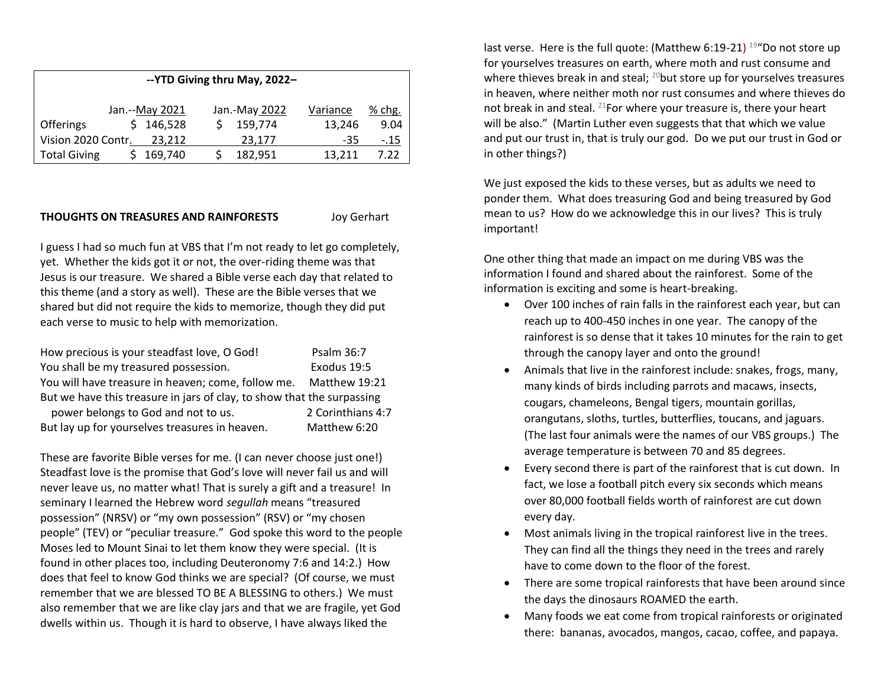| --YTD Giving thru May, 2022- |  |                |  |               |          |        |
|------------------------------|--|----------------|--|---------------|----------|--------|
|                              |  | Jan.--May 2021 |  | Jan.-May 2022 | Variance | % chg. |
| Offerings                    |  | 146,528        |  | 159,774       | 13.246   | 9.04   |
| Vision 2020 Contr.           |  | 23.212         |  | 23.177        | -35      | $-.15$ |
| <b>Total Giving</b>          |  | 169,740        |  | 182,951       | 13,211   | 7.22   |

#### **THOUGHTS ON TREASURES AND RAINFORESTS** Joy Gerhart

I guess I had so much fun at VBS that I'm not ready to let go completely, yet. Whether the kids got it or not, the over-riding theme was that Jesus is our treasure. We shared a Bible verse each day that related to this theme (and a story as well). These are the Bible verses that we shared but did not require the kids to memorize, though they did put each verse to music to help with memorization.

How precious is your steadfast love, O God! Psalm 36:7 You shall be my treasured possession. Exodus 19:5 You will have treasure in heaven; come, follow me. Matthew 19:21 But we have this treasure in jars of clay, to show that the surpassing power belongs to God and not to us. 2 Corinthians 4:7 But lay up for yourselves treasures in heaven. Matthew 6:20

These are favorite Bible verses for me. (I can never choose just one!) Steadfast love is the promise that God's love will never fail us and will never leave us, no matter what! That is surely a gift and a treasure! In seminary I learned the Hebrew word *segullah* means "treasured possession" (NRSV) or "my own possession" (RSV) or "my chosen people" (TEV) or "peculiar treasure." God spoke this word to the people Moses led to Mount Sinai to let them know they were special. (It is found in other places too, including Deuteronomy 7:6 and 14:2.) How does that feel to know God thinks we are special? (Of course, we must remember that we are blessed TO BE A BLESSING to others.) We must also remember that we are like clay jars and that we are fragile, yet God dwells within us. Though it is hard to observe, I have always liked the

last verse. Here is the full quote: (Matthew 6:19-21)  $^{19}$  Do not store up for yourselves treasures on earth, where moth and rust consume and where thieves break in and steal; <sup>20</sup>but store up for yourselves treasures in heaven, where neither moth nor rust consumes and where thieves do not break in and steal. <sup>21</sup>For where your treasure is, there your heart will be also." (Martin Luther even suggests that that which we value and put our trust in, that is truly our god. Do we put our trust in God or in other things?)

We just exposed the kids to these verses, but as adults we need to ponder them. What does treasuring God and being treasured by God mean to us? How do we acknowledge this in our lives? This is truly important!

One other thing that made an impact on me during VBS was the information I found and shared about the rainforest. Some of the information is exciting and some is heart-breaking.

- Over 100 inches of rain falls in the rainforest each year, but can reach up to 400-450 inches in one year. The canopy of the rainforest is so dense that it takes 10 minutes for the rain to get through the canopy layer and onto the ground!
- Animals that live in the rainforest include: snakes, frogs, many, many kinds of birds including parrots and macaws, insects, cougars, chameleons, Bengal tigers, mountain gorillas, orangutans, sloths, turtles, butterflies, toucans, and jaguars. (The last four animals were the names of our VBS groups.) The average temperature is between 70 and 85 degrees.
- Every second there is part of the rainforest that is cut down. In fact, we lose a football pitch every six seconds which means over 80,000 football fields worth of rainforest are cut down every day.
- Most animals living in the tropical rainforest live in the trees. They can find all the things they need in the trees and rarely have to come down to the floor of the forest.
- There are some tropical rainforests that have been around since the days the dinosaurs ROAMED the earth.
- Many foods we eat come from tropical rainforests or originated there: bananas, avocados, mangos, cacao, coffee, and papaya.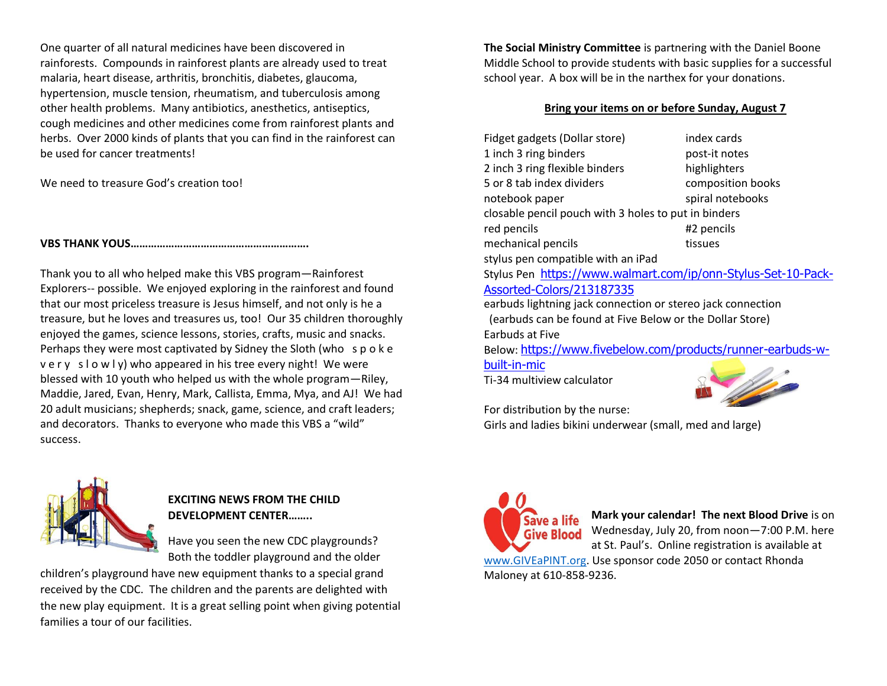One quarter of all natural medicines have been discovered in rainforests. Compounds in rainforest plants are already used to treat malaria, heart disease, arthritis, bronchitis, diabetes, glaucoma, hypertension, muscle tension, rheumatism, and tuberculosis among other health problems. Many antibiotics, anesthetics, antiseptics, cough medicines and other medicines come from rainforest plants and herbs. Over 2000 kinds of plants that you can find in the rainforest can be used for cancer treatments!

We need to treasure God's creation too!

## **VBS THANK YOUS…………………………………………………….**

Thank you to all who helped make this VBS program—Rainforest Explorers-- possible. We enjoyed exploring in the rainforest and found that our most priceless treasure is Jesus himself, and not only is he a treasure, but he loves and treasures us, too! Our 35 children thoroughly enjoyed the games, science lessons, stories, crafts, music and snacks. Perhaps they were most captivated by Sidney the Sloth (who s p o k e v e r y s l o w l y) who appeared in his tree every night! We were blessed with 10 youth who helped us with the whole program—Riley, Maddie, Jared, Evan, Henry, Mark, Callista, Emma, Mya, and AJ! We had 20 adult musicians; shepherds; snack, game, science, and craft leaders; and decorators. Thanks to everyone who made this VBS a "wild" success.



# **EXCITING NEWS FROM THE CHILD DEVELOPMENT CENTER……..**

Have you seen the new CDC playgrounds? Both the toddler playground and the older

children's playground have new equipment thanks to a special grand received by the CDC. The children and the parents are delighted with the new play equipment. It is a great selling point when giving potential families a tour of our facilities.

**The Social Ministry Committee** is partnering with the Daniel Boone Middle School to provide students with basic supplies for a successful school year. A box will be in the narthex for your donations.

#### **Bring your items on or before Sunday, August 7**

| Fidget gadgets (Dollar store)                        | index cards       |
|------------------------------------------------------|-------------------|
| 1 inch 3 ring binders                                | post-it notes     |
| 2 inch 3 ring flexible binders                       | highlighters      |
| 5 or 8 tab index dividers                            | composition books |
| notebook paper                                       | spiral notebooks  |
| closable pencil pouch with 3 holes to put in binders |                   |
| red pencils                                          | #2 pencils        |
| mechanical pencils                                   | tissues           |
| stylus pen compatible with an iPad                   |                   |

Stylus Pen [https://www.walmart.com/ip/onn-Stylus-Set-10-Pack-](https://www.walmart.com/ip/onn-Stylus-Set-10-Pack-Assorted-Colors/213187335)[Assorted-Colors/213187335](https://www.walmart.com/ip/onn-Stylus-Set-10-Pack-Assorted-Colors/213187335)

earbuds lightning jack connection or stereo jack connection (earbuds can be found at Five Below or the Dollar Store) Earbuds at Five Below: [https://www.fivebelow.com/products/runner-earbuds-w-](https://www.fivebelow.com/products/runner-earbuds-w-built-in-mic)

[built-in-mic](https://www.fivebelow.com/products/runner-earbuds-w-built-in-mic)

Ti-34 multiview calculator



For distribution by the nurse:

Girls and ladies bikini underwear (small, med and large)



**Mark your calendar! The next Blood Drive** is on Wednesday, July 20, from noon—7:00 P.M. here at St. Paul's. Online registration is available at

[www.GIVEaPINT.org.](http://www.giveapint.org/) Use sponsor code 2050 or contact Rhonda Maloney at 610-858-9236.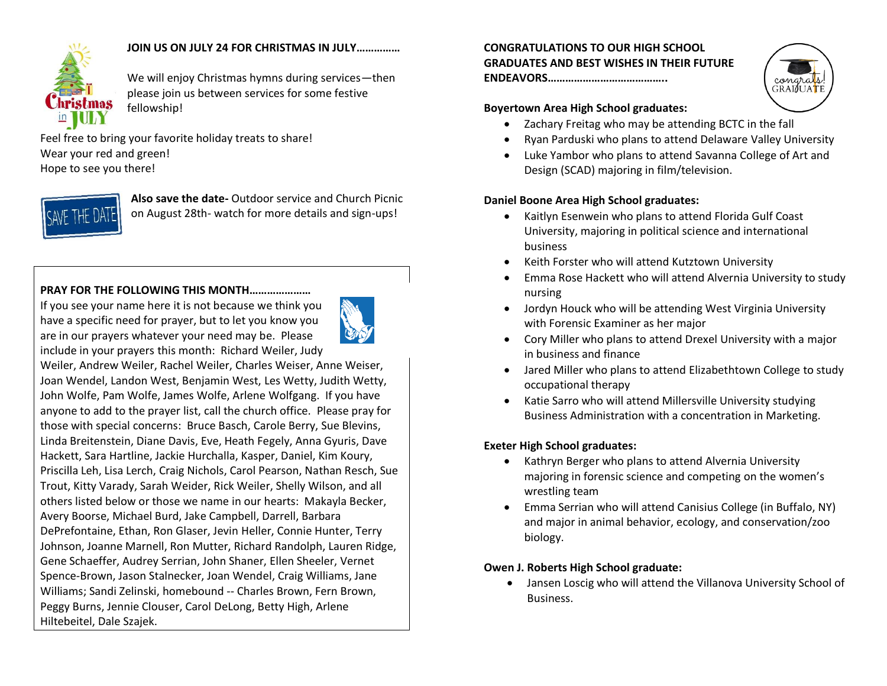

## **JOIN US ON JULY 24 FOR CHRISTMAS IN JULY……………**

We will enjoy Christmas hymns during services—then please join us between services for some festive fellowship!

Feel free to bring your favorite holiday treats to share! Wear your red and green! Hope to see you there!



**Also save the date-** Outdoor service and Church Picnic on August 28th- watch for more details and sign-ups!

#### **PRAY FOR THE FOLLOWING THIS MONTH…………………**

If you see your name here it is not because we think you have a specific need for prayer, but to let you know you are in our prayers whatever your need may be. Please include in your prayers this month: Richard Weiler, Judy



Weiler, Andrew Weiler, Rachel Weiler, Charles Weiser, Anne Weiser, Joan Wendel, Landon West, Benjamin West, Les Wetty, Judith Wetty, John Wolfe, Pam Wolfe, James Wolfe, Arlene Wolfgang. If you have anyone to add to the prayer list, call the church office. Please pray for those with special concerns: Bruce Basch, Carole Berry, Sue Blevins, Linda Breitenstein, Diane Davis, Eve, Heath Fegely, Anna Gyuris, Dave Hackett, Sara Hartline, Jackie Hurchalla, Kasper, Daniel, Kim Koury, Priscilla Leh, Lisa Lerch, Craig Nichols, Carol Pearson, Nathan Resch, Sue Trout, Kitty Varady, Sarah Weider, Rick Weiler, Shelly Wilson, and all others listed below or those we name in our hearts: Makayla Becker, Avery Boorse, Michael Burd, Jake Campbell, Darrell, Barbara DePrefontaine, Ethan, Ron Glaser, Jevin Heller, Connie Hunter, Terry Johnson, Joanne Marnell, Ron Mutter, Richard Randolph, Lauren Ridge, Gene Schaeffer, Audrey Serrian, John Shaner, Ellen Sheeler, Vernet Spence-Brown, Jason Stalnecker, Joan Wendel, Craig Williams, Jane Williams; Sandi Zelinski, homebound -- Charles Brown, Fern Brown, Peggy Burns, Jennie Clouser, Carol DeLong, Betty High, Arlene Hiltebeitel, Dale Szajek.

# **CONGRATULATIONS TO OUR HIGH SCHOOL GRADUATES AND BEST WISHES IN THEIR FUTURE**





#### **Boyertown Area High School graduates:**

- Zachary Freitag who may be attending BCTC in the fall
- Ryan Parduski who plans to attend Delaware Valley University
- Luke Yambor who plans to attend Savanna College of Art and Design (SCAD) majoring in film/television.

#### **Daniel Boone Area High School graduates:**

- Kaitlyn Esenwein who plans to attend Florida Gulf Coast University, majoring in political science and international business
- Keith Forster who will attend Kutztown University
- Emma Rose Hackett who will attend Alvernia University to study nursing
- Jordyn Houck who will be attending West Virginia University with Forensic Examiner as her major
- Cory Miller who plans to attend Drexel University with a major in business and finance
- Jared Miller who plans to attend Elizabethtown College to study occupational therapy
- Katie Sarro who will attend Millersville University studying Business Administration with a concentration in Marketing.

## **Exeter High School graduates:**

- Kathryn Berger who plans to attend Alvernia University majoring in forensic science and competing on the women's wrestling team
- Emma Serrian who will attend Canisius College (in Buffalo, NY) and major in animal behavior, ecology, and conservation/zoo biology.

## **Owen J. Roberts High School graduate:**

• Jansen Loscig who will attend the Villanova University School of Business.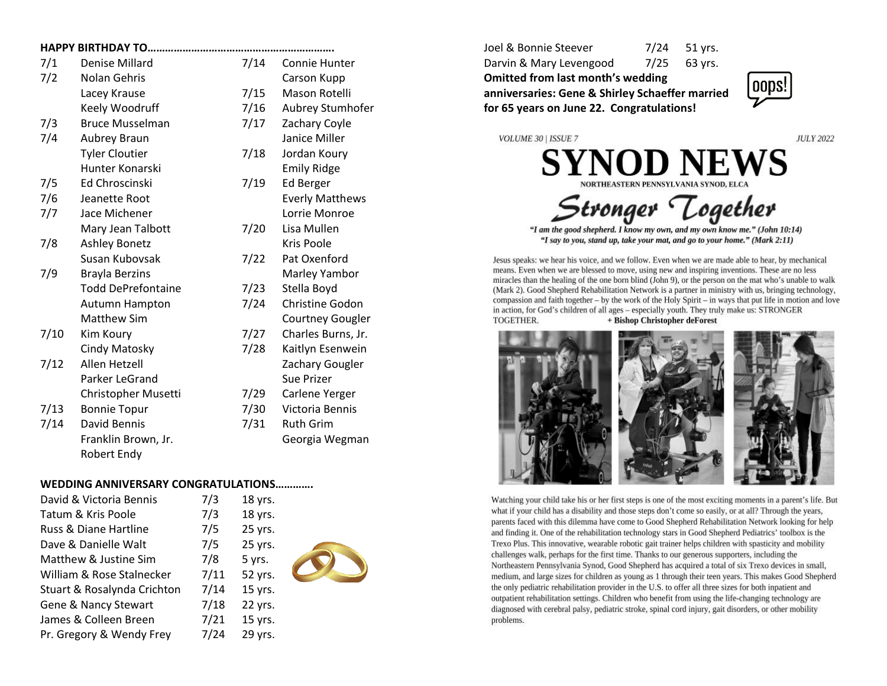|      | <b>HAPPY BIRTHDAY TO</b>  |      |                         |
|------|---------------------------|------|-------------------------|
| 7/1  | Denise Millard            | 7/14 | Connie Hunter           |
| 7/2  | Nolan Gehris              |      | Carson Kupp             |
|      | Lacey Krause              | 7/15 | Mason Rotelli           |
|      | Keely Woodruff            | 7/16 | Aubrey Stumhofe         |
| 7/3  | <b>Bruce Musselman</b>    | 7/17 | Zachary Coyle           |
| 7/4  | Aubrey Braun              |      | Janice Miller           |
|      | <b>Tyler Cloutier</b>     | 7/18 | Jordan Koury            |
|      | Hunter Konarski           |      | <b>Emily Ridge</b>      |
| 7/5  | Ed Chroscinski            | 7/19 | Ed Berger               |
| 7/6  | Jeanette Root             |      | <b>Everly Matthews</b>  |
| 7/7  | Jace Michener             |      | Lorrie Monroe           |
|      | Mary Jean Talbott         | 7/20 | Lisa Mullen             |
| 7/8  | <b>Ashley Bonetz</b>      |      | Kris Poole              |
|      | Susan Kuboysak            | 7/22 | Pat Oxenford            |
| 7/9  | <b>Brayla Berzins</b>     |      | Marley Yambor           |
|      | <b>Todd DePrefontaine</b> | 7/23 | Stella Boyd             |
|      | Autumn Hampton            | 7/24 | Christine Godon         |
|      | <b>Matthew Sim</b>        |      | <b>Courtney Gougler</b> |
| 7/10 | Kim Koury                 | 7/27 | Charles Burns, Jr.      |
|      | Cindy Matosky             | 7/28 | Kaitlyn Esenwein        |
| 7/12 | Allen Hetzell             |      | Zachary Gougler         |
|      | Parker LeGrand            |      | Sue Prizer              |
|      | Christopher Musetti       | 7/29 | Carlene Yerger          |
| 7/13 | <b>Bonnie Topur</b>       | 7/30 | Victoria Bennis         |
| 7/14 | David Bennis              | 7/31 | <b>Ruth Grim</b>        |
|      | Franklin Brown, Jr.       |      | Georgia Wegman          |
|      |                           |      |                         |

# nie Hunter son Kupp son Rotelli rey Stumhofer hary Coyle ce Miller lan Koury ly Ridge rly Matthews ie Monroe **Mullen** Oxenford ley Yambor la Boyd istine Godon rtney Gougler rles Burns, Jr. Iyn Esenwein hary Gougler ene Yerger oria Bennis

Robert Endy

#### **WEDDING ANNIVERSARY CONGRATULATIONS………….**

| David & Victoria Bennis         | 7/3  | 18 yrs. |  |
|---------------------------------|------|---------|--|
| Tatum & Kris Poole              | 7/3  | 18 yrs. |  |
| Russ & Diane Hartline           | 7/5  | 25 yrs. |  |
| Dave & Danielle Walt            | 7/5  | 25 yrs. |  |
| Matthew & Justine Sim           | 7/8  | 5 yrs.  |  |
| William & Rose Stalnecker       | 7/11 | 52 yrs. |  |
| Stuart & Rosalynda Crichton     | 7/14 | 15 yrs. |  |
| <b>Gene &amp; Nancy Stewart</b> | 7/18 | 22 yrs. |  |
| James & Colleen Breen           | 7/21 | 15 yrs. |  |
| Pr. Gregory & Wendy Frey        | 7/24 | 29 yrs. |  |

Joel & Bonnie Steever 7/24 51 yrs. Darvin & Mary Levengood 7/25 63 yrs. **Omitted from last month's wedding anniversaries: Gene & Shirley Schaeffer married for 65 years on June 22. Congratulations!**



VOLUME 30 | ISSUE 7

**JULY 2022** 

NORTHEASTERN PENNSYLVANIA SYNOD, ELCA

Stronger Together

**SYNOD NEWS** 

"I am the good shepherd. I know my own, and my own know me." (John 10:14) "I say to you, stand up, take your mat, and go to your home." (Mark 2:11)

Jesus speaks: we hear his voice, and we follow. Even when we are made able to hear, by mechanical means. Even when we are blessed to move, using new and inspiring inventions. These are no less miracles than the healing of the one born blind (John 9), or the person on the mat who's unable to walk (Mark 2). Good Shepherd Rehabilitation Network is a partner in ministry with us, bringing technology, compassion and faith together - by the work of the Holy Spirit - in ways that put life in motion and love in action, for God's children of all ages - especially youth. They truly make us: STRONGER + Bishop Christopher deForest TOGETHER.



Watching your child take his or her first steps is one of the most exciting moments in a parent's life. But what if your child has a disability and those steps don't come so easily, or at all? Through the years, parents faced with this dilemma have come to Good Shepherd Rehabilitation Network looking for help and finding it. One of the rehabilitation technology stars in Good Shepherd Pediatrics' toolbox is the Trexo Plus. This innovative, wearable robotic gait trainer helps children with spasticity and mobility challenges walk, perhaps for the first time. Thanks to our generous supporters, including the Northeastern Pennsylvania Synod, Good Shepherd has acquired a total of six Trexo devices in small, medium, and large sizes for children as young as 1 through their teen years. This makes Good Shepherd the only pediatric rehabilitation provider in the U.S. to offer all three sizes for both inpatient and outpatient rehabilitation settings. Children who benefit from using the life-changing technology are diagnosed with cerebral palsy, pediatric stroke, spinal cord injury, gait disorders, or other mobility problems.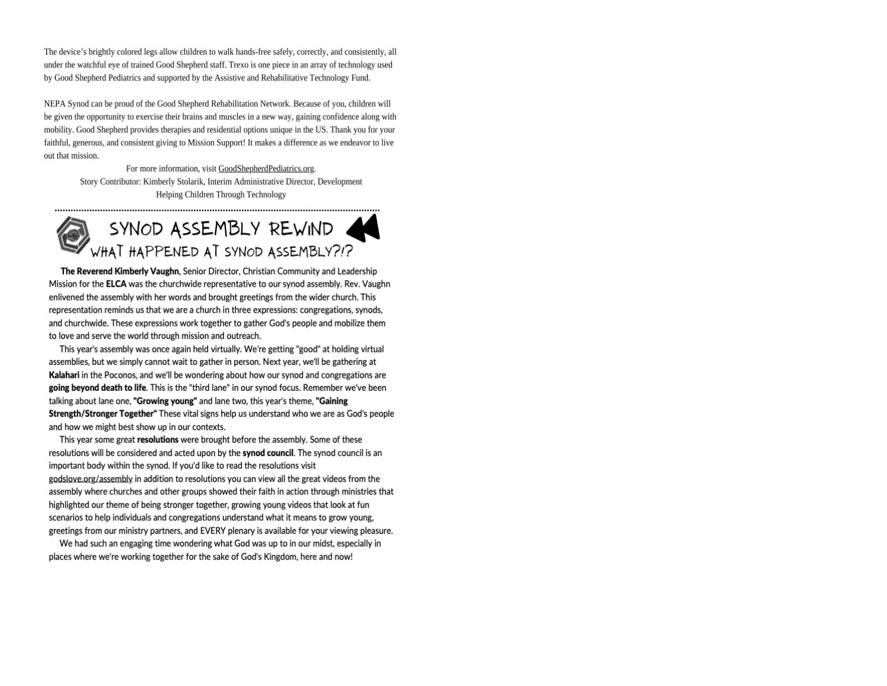The device's brightly colored legs allow children to walk hands-free safely, correctly, and consistently, all under the watchful eve of trained Good Shepherd staff. Trexo is one piece in an array of technology used by Good Shepherd Pediatrics and supported by the Assistive and Rehabilitative Technology Fund.

NEPA Synod can be proud of the Good Shepherd Rehabilitation Network. Because of you, children will be given the opportunity to exercise their brains and muscles in a new way, gaining confidence along with mobility. Good Shepherd provides therapies and residential options unique in the US. Thank you for your faithful, generous, and consistent giving to Mission Support! It makes a difference as we endeavor to live out that mission.

For more information, visit GoodShepherdPediatrics.org. Story Contributor: Kimberly Stolarik, Interim Administrative Director, Development Helping Children Through Technology



The Reverend Kimberly Vaughn, Senior Director, Christian Community and Leadership Mission for the **ELCA** was the churchwide representative to our synod assembly. Rev. Vaughn enlivened the assembly with her words and brought greetings from the wider church. This representation reminds us that we are a church in three expressions: congregations, synods, and churchwide. These expressions work together to gather God's people and mobilize them to love and serve the world through mission and outreach.

This year's assembly was once again held virtually. We're getting "good" at holding virtual assemblies, but we simply cannot wait to gather in person. Next year, we'll be gathering at **Kalahari** in the Poconos, and we'll be wondering about how our synod and congregations are going beyond death to life. This is the "third lane" in our synod focus. Remember we've been talking about lane one, "Growing young" and lane two, this year's theme, "Gaining Strength/Stronger Together" These vital signs help us understand who we are as God's people and how we might best show up in our contexts.

This year some great resolutions were brought before the assembly. Some of these resolutions will be considered and acted upon by the synod council. The synod council is an important body within the synod. If you'd like to read the resolutions visit godslove.org/assembly in addition to resolutions you can view all the great videos from the assembly where churches and other groups showed their faith in action through ministries that highlighted our theme of being stronger together, growing young videos that look at fun scenarios to help individuals and congregations understand what it means to grow young, greetings from our ministry partners, and EVERY plenary is available for your viewing pleasure.

We had such an engaging time wondering what God was up to in our midst, especially in places where we're working together for the sake of God's Kingdom, here and now!